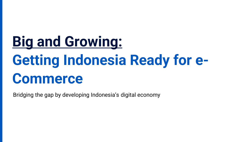# **Big and Growing: Getting Indonesia Ready for e-Commerce**

Bridging the gap by developing Indonesia's digital economy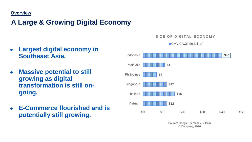### **Overview**

### **A Large & Growing Digital Economy**

- **Largest digital economy in Southeast Asia.**
- **Massive potential to still growing as digital transformation is still ongoing.**
- **E-Commerce flourished and is potentially still growing.**



SIZE OF DIGITAL ECONOMY

Source: Google, Temasek, & Bain & Company, 2020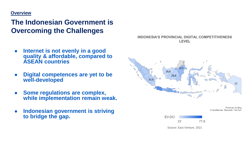### **Overview**

### **The Indonesian Government is Overcoming the Challenges**

- **Internet is not evenly in a good quality & affordable, compared to ASEAN countries**
- **Digital competences are yet to be well-developed**
- **Some regulations are complex, while implementation remain weak.**
- **Indonesian government is striving to bridge the gap.**

**INDONESIA'S PROVINCIAL DIGITAL COMPETITIVENESS LEVEL** 



Powered by Bing © GeoNames, Microsoft, TomTom



Source: East Venture, 2021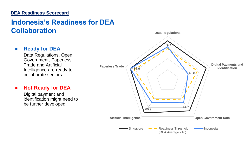### **DEA Readiness Scorecard**

### **Indonesia's Readiness for DEA Collaboration**

### ● **Ready for DEA**

Data Regulations, Open Government, Paperless Trade and Artificial Intelligence are ready-tocollaborate sectors

### ● **Not Ready for DEA**

Digital payment and identification might need to be further developed

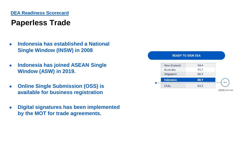# **Paperless Trade**

- **Indonesia has established a National Single Window (INSW) in 2008**
- **Indonesia has joined ASEAN Single Window (ASW) in 2019.**
- **Online Single Submission (OSS) is available for business registration**
- **Digital signatures has been implemented by the MOT for trade agreements.**

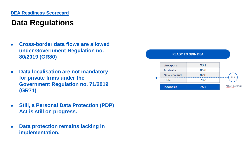# **Data Regulations**

- **Cross-border data flows are allowed under Government Regulation no. 80/2019 (GR80)**
- **Data localisation are not mandatory for private firms under the Government Regulation no. 71/2019 (GR71)**
- **Still, a Personal Data Protection (PDP) Act is still on progress.**
- **Data protection remains lacking in implementation.**

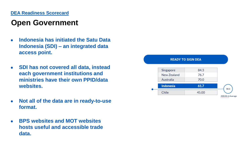### **DEA Readiness Scorecard**

## **Open Government**

- **Indonesia has initiated the Satu Data Indonesia (SDI) – an integrated data access point.**
- **SDI has not covered all data, instead each government institutions and ministries have their own PPID/data websites.**
- **Not all of the data are in ready-to-use format.**
- **BPS websites and MOT websites hosts useful and accessible trade data.**

#### **READY TO SIGN DEA** Singapore 84.3 New Zealand 76.7 Australia 70.0 Indonesia 61.7 58.3 Chile 45.00 **ASEAN-6 Average**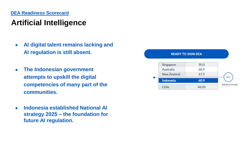# **Artificial Intelligence**

- **AI digital talent remains lacking and AI regulation is still absent.**
- **The Indonesian government attempts to upskill the digital competencies of many part of the communities.**
- **Indonesia established National AI strategy 2025 – the foundation for future AI regulation.**

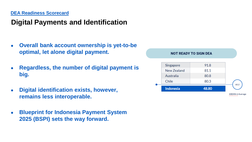## **Digital Payments and Identification**

- **Overall bank account ownership is yet-to-be optimal, let alone digital payment.**
- **Regardless, the number of digital payment is big.**
- **Digital identification exists, however, remains less interoperable.**
- **Blueprint for Indonesia Payment System 2025 (BSPI) sets the way forward.**